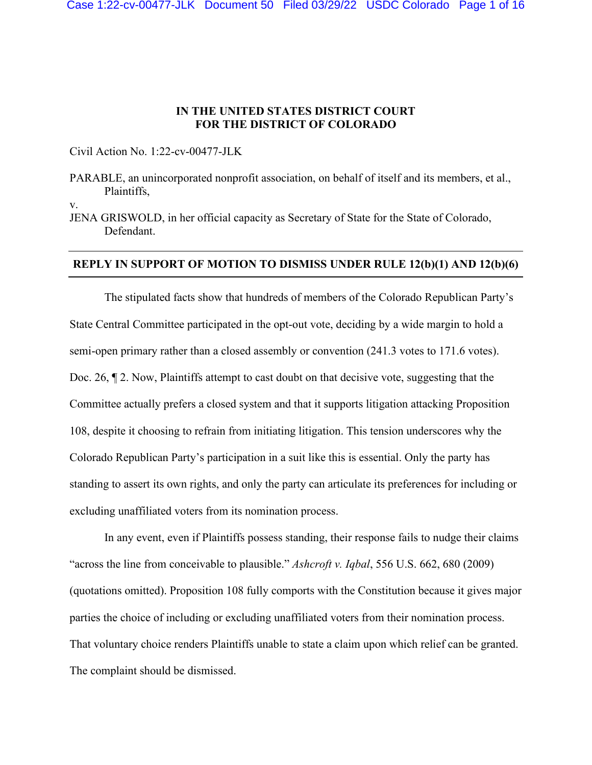## **IN THE UNITED STATES DISTRICT COURT FOR THE DISTRICT OF COLORADO**

Civil Action No. 1:22-cv-00477-JLK

PARABLE, an unincorporated nonprofit association, on behalf of itself and its members, et al., Plaintiffs,

v.

JENA GRISWOLD, in her official capacity as Secretary of State for the State of Colorado, Defendant.

### **REPLY IN SUPPORT OF MOTION TO DISMISS UNDER RULE 12(b)(1) AND 12(b)(6)**

The stipulated facts show that hundreds of members of the Colorado Republican Party's State Central Committee participated in the opt-out vote, deciding by a wide margin to hold a semi-open primary rather than a closed assembly or convention (241.3 votes to 171.6 votes). Doc. 26,  $\mathbb{I}$  2. Now, Plaintiffs attempt to cast doubt on that decisive vote, suggesting that the Committee actually prefers a closed system and that it supports litigation attacking Proposition 108, despite it choosing to refrain from initiating litigation. This tension underscores why the Colorado Republican Party's participation in a suit like this is essential. Only the party has standing to assert its own rights, and only the party can articulate its preferences for including or excluding unaffiliated voters from its nomination process.

In any event, even if Plaintiffs possess standing, their response fails to nudge their claims "across the line from conceivable to plausible." *Ashcroft v. Iqbal*, 556 U.S. 662, 680 (2009) (quotations omitted). Proposition 108 fully comports with the Constitution because it gives major parties the choice of including or excluding unaffiliated voters from their nomination process. That voluntary choice renders Plaintiffs unable to state a claim upon which relief can be granted. The complaint should be dismissed.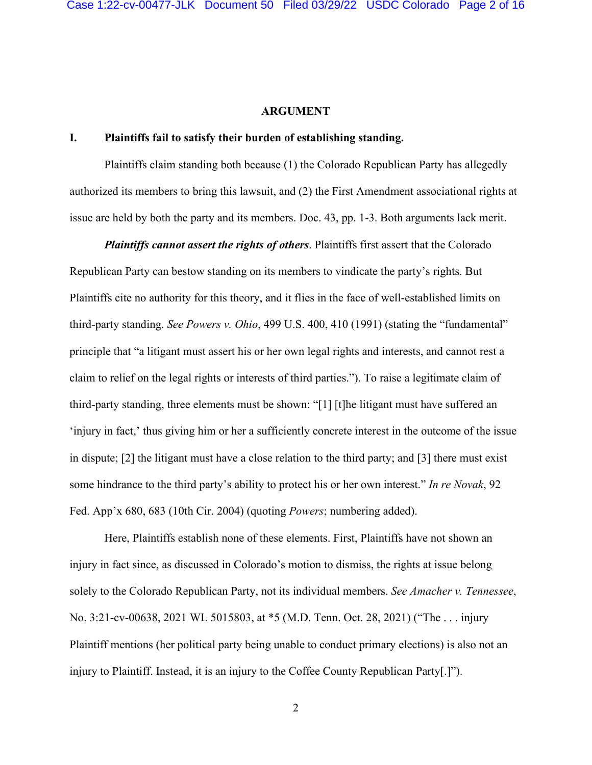#### **ARGUMENT**

### **I. Plaintiffs fail to satisfy their burden of establishing standing.**

Plaintiffs claim standing both because (1) the Colorado Republican Party has allegedly authorized its members to bring this lawsuit, and (2) the First Amendment associational rights at issue are held by both the party and its members. Doc. 43, pp. 1-3. Both arguments lack merit.

*Plaintiffs cannot assert the rights of others*. Plaintiffs first assert that the Colorado Republican Party can bestow standing on its members to vindicate the party's rights. But Plaintiffs cite no authority for this theory, and it flies in the face of well-established limits on third-party standing. *See Powers v. Ohio*, 499 U.S. 400, 410 (1991) (stating the "fundamental" principle that "a litigant must assert his or her own legal rights and interests, and cannot rest a claim to relief on the legal rights or interests of third parties."). To raise a legitimate claim of third-party standing, three elements must be shown: "[1] [t]he litigant must have suffered an 'injury in fact,' thus giving him or her a sufficiently concrete interest in the outcome of the issue in dispute; [2] the litigant must have a close relation to the third party; and [3] there must exist some hindrance to the third party's ability to protect his or her own interest." *In re Novak*, 92 Fed. App'x 680, 683 (10th Cir. 2004) (quoting *Powers*; numbering added).

Here, Plaintiffs establish none of these elements. First, Plaintiffs have not shown an injury in fact since, as discussed in Colorado's motion to dismiss, the rights at issue belong solely to the Colorado Republican Party, not its individual members. *See Amacher v. Tennessee*, No. 3:21-cv-00638, 2021 WL 5015803, at \*5 (M.D. Tenn. Oct. 28, 2021) ("The . . . injury Plaintiff mentions (her political party being unable to conduct primary elections) is also not an injury to Plaintiff. Instead, it is an injury to the Coffee County Republican Party[.]").

2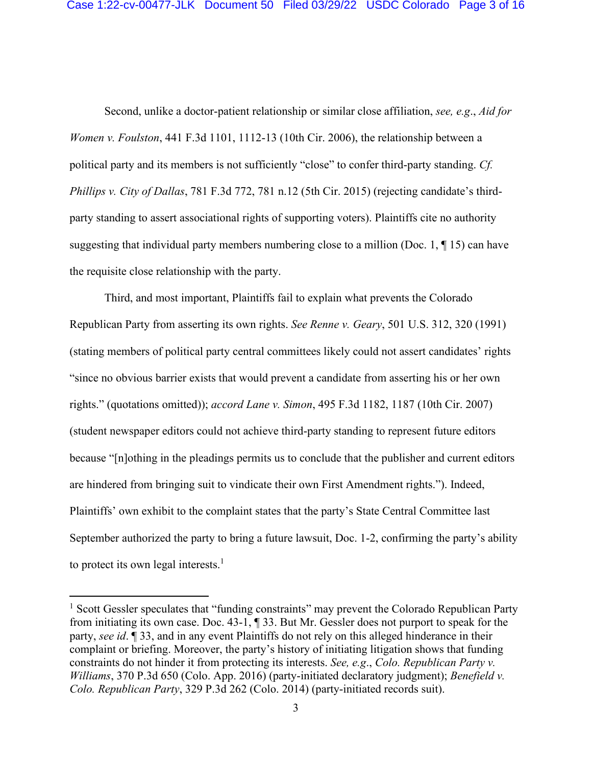Second, unlike a doctor-patient relationship or similar close affiliation, *see, e.g*., *Aid for Women v. Foulston*, 441 F.3d 1101, 1112-13 (10th Cir. 2006), the relationship between a political party and its members is not sufficiently "close" to confer third-party standing. *Cf. Phillips v. City of Dallas*, 781 F.3d 772, 781 n.12 (5th Cir. 2015) (rejecting candidate's thirdparty standing to assert associational rights of supporting voters). Plaintiffs cite no authority suggesting that individual party members numbering close to a million (Doc. 1,  $\P$  15) can have the requisite close relationship with the party.

Third, and most important, Plaintiffs fail to explain what prevents the Colorado Republican Party from asserting its own rights. *See Renne v. Geary*, 501 U.S. 312, 320 (1991) (stating members of political party central committees likely could not assert candidates' rights "since no obvious barrier exists that would prevent a candidate from asserting his or her own rights." (quotations omitted)); *accord Lane v. Simon*, 495 F.3d 1182, 1187 (10th Cir. 2007) (student newspaper editors could not achieve third-party standing to represent future editors because "[n]othing in the pleadings permits us to conclude that the publisher and current editors are hindered from bringing suit to vindicate their own First Amendment rights."). Indeed, Plaintiffs' own exhibit to the complaint states that the party's State Central Committee last September authorized the party to bring a future lawsuit, Doc. 1-2, confirming the party's ability to protect its own legal interests.<sup>1</sup>

<sup>&</sup>lt;sup>1</sup> Scott Gessler speculates that "funding constraints" may prevent the Colorado Republican Party from initiating its own case. Doc. 43-1, ¶ 33. But Mr. Gessler does not purport to speak for the party, *see id*. ¶ 33, and in any event Plaintiffs do not rely on this alleged hinderance in their complaint or briefing. Moreover, the party's history of initiating litigation shows that funding constraints do not hinder it from protecting its interests. *See, e.g*., *Colo. Republican Party v. Williams*, 370 P.3d 650 (Colo. App. 2016) (party-initiated declaratory judgment); *Benefield v. Colo. Republican Party*, 329 P.3d 262 (Colo. 2014) (party-initiated records suit).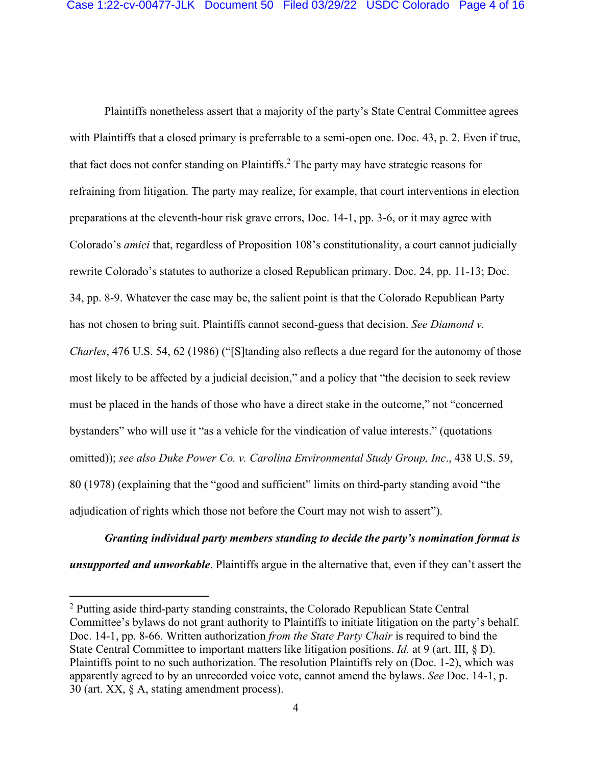Plaintiffs nonetheless assert that a majority of the party's State Central Committee agrees with Plaintiffs that a closed primary is preferrable to a semi-open one. Doc. 43, p. 2. Even if true, that fact does not confer standing on Plaintiffs.<sup>2</sup> The party may have strategic reasons for refraining from litigation. The party may realize, for example, that court interventions in election preparations at the eleventh-hour risk grave errors, Doc. 14-1, pp. 3-6, or it may agree with Colorado's *amici* that, regardless of Proposition 108's constitutionality, a court cannot judicially rewrite Colorado's statutes to authorize a closed Republican primary. Doc. 24, pp. 11-13; Doc. 34, pp. 8-9. Whatever the case may be, the salient point is that the Colorado Republican Party has not chosen to bring suit. Plaintiffs cannot second-guess that decision. *See Diamond v. Charles*, 476 U.S. 54, 62 (1986) ("[S]tanding also reflects a due regard for the autonomy of those most likely to be affected by a judicial decision," and a policy that "the decision to seek review must be placed in the hands of those who have a direct stake in the outcome," not "concerned bystanders" who will use it "as a vehicle for the vindication of value interests." (quotations omitted)); *see also Duke Power Co. v. Carolina Environmental Study Group, Inc*., 438 U.S. 59, 80 (1978) (explaining that the "good and sufficient" limits on third-party standing avoid "the adjudication of rights which those not before the Court may not wish to assert").

*Granting individual party members standing to decide the party's nomination format is unsupported and unworkable*. Plaintiffs argue in the alternative that, even if they can't assert the

<sup>&</sup>lt;sup>2</sup> Putting aside third-party standing constraints, the Colorado Republican State Central Committee's bylaws do not grant authority to Plaintiffs to initiate litigation on the party's behalf. Doc. 14-1, pp. 8-66. Written authorization *from the State Party Chair* is required to bind the State Central Committee to important matters like litigation positions. *Id.* at 9 (art. III, § D). Plaintiffs point to no such authorization. The resolution Plaintiffs rely on (Doc. 1-2), which was apparently agreed to by an unrecorded voice vote, cannot amend the bylaws. *See* Doc. 14-1, p. 30 (art. XX, § A, stating amendment process).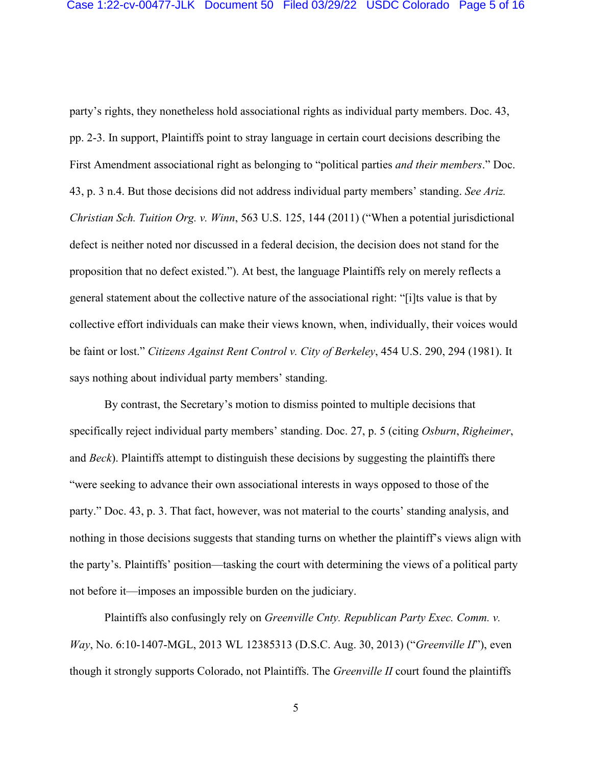party's rights, they nonetheless hold associational rights as individual party members. Doc. 43, pp. 2-3. In support, Plaintiffs point to stray language in certain court decisions describing the First Amendment associational right as belonging to "political parties *and their members*." Doc. 43, p. 3 n.4. But those decisions did not address individual party members' standing. *See Ariz. Christian Sch. Tuition Org. v. Winn*, 563 U.S. 125, 144 (2011) ("When a potential jurisdictional defect is neither noted nor discussed in a federal decision, the decision does not stand for the proposition that no defect existed."). At best, the language Plaintiffs rely on merely reflects a general statement about the collective nature of the associational right: "[i]ts value is that by collective effort individuals can make their views known, when, individually, their voices would be faint or lost." *Citizens Against Rent Control v. City of Berkeley*, 454 U.S. 290, 294 (1981). It says nothing about individual party members' standing.

By contrast, the Secretary's motion to dismiss pointed to multiple decisions that specifically reject individual party members' standing. Doc. 27, p. 5 (citing *Osburn*, *Righeimer*, and *Beck*). Plaintiffs attempt to distinguish these decisions by suggesting the plaintiffs there "were seeking to advance their own associational interests in ways opposed to those of the party." Doc. 43, p. 3. That fact, however, was not material to the courts' standing analysis, and nothing in those decisions suggests that standing turns on whether the plaintiff's views align with the party's. Plaintiffs' position—tasking the court with determining the views of a political party not before it—imposes an impossible burden on the judiciary.

Plaintiffs also confusingly rely on *Greenville Cnty. Republican Party Exec. Comm. v. Way*, No. 6:10-1407-MGL, 2013 WL 12385313 (D.S.C. Aug. 30, 2013) ("*Greenville II*"), even though it strongly supports Colorado, not Plaintiffs. The *Greenville II* court found the plaintiffs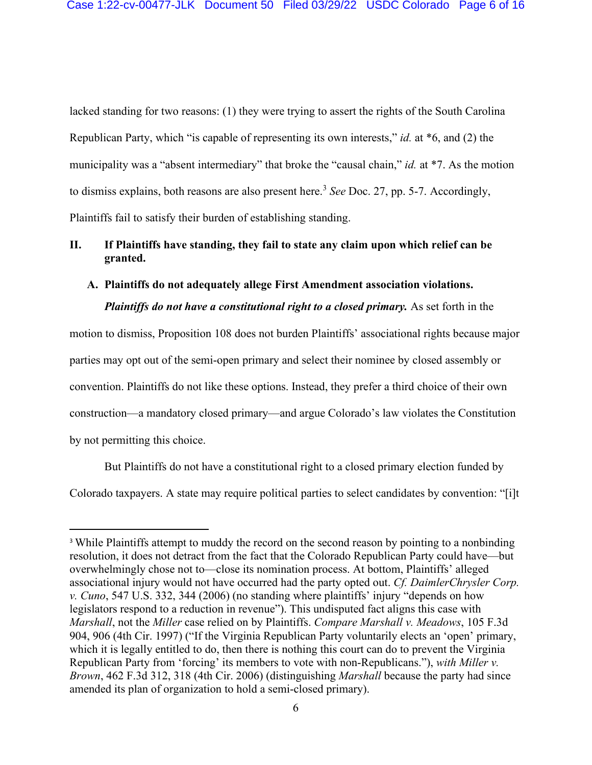lacked standing for two reasons: (1) they were trying to assert the rights of the South Carolina Republican Party, which "is capable of representing its own interests," *id.* at \*6, and (2) the municipality was a "absent intermediary" that broke the "causal chain," *id.* at \*7. As the motion to dismiss explains, both reasons are also present here.<sup>3</sup> *See* Doc. 27, pp. 5-7. Accordingly, Plaintiffs fail to satisfy their burden of establishing standing.

# **II. If Plaintiffs have standing, they fail to state any claim upon which relief can be granted.**

## **A. Plaintiffs do not adequately allege First Amendment association violations.**

*Plaintiffs do not have a constitutional right to a closed primary.* As set forth in the

motion to dismiss, Proposition 108 does not burden Plaintiffs' associational rights because major parties may opt out of the semi-open primary and select their nominee by closed assembly or convention. Plaintiffs do not like these options. Instead, they prefer a third choice of their own construction—a mandatory closed primary—and argue Colorado's law violates the Constitution by not permitting this choice.

But Plaintiffs do not have a constitutional right to a closed primary election funded by Colorado taxpayers. A state may require political parties to select candidates by convention: "[i]t

<sup>&</sup>lt;sup>3</sup> While Plaintiffs attempt to muddy the record on the second reason by pointing to a nonbinding resolution, it does not detract from the fact that the Colorado Republican Party could have—but overwhelmingly chose not to—close its nomination process. At bottom, Plaintiffs' alleged associational injury would not have occurred had the party opted out. *Cf. DaimlerChrysler Corp. v. Cuno*, 547 U.S. 332, 344 (2006) (no standing where plaintiffs' injury "depends on how legislators respond to a reduction in revenue"). This undisputed fact aligns this case with *Marshall*, not the *Miller* case relied on by Plaintiffs. *Compare Marshall v. Meadows*, 105 F.3d 904, 906 (4th Cir. 1997) ("If the Virginia Republican Party voluntarily elects an 'open' primary, which it is legally entitled to do, then there is nothing this court can do to prevent the Virginia Republican Party from 'forcing' its members to vote with non-Republicans."), *with Miller v. Brown*, 462 F.3d 312, 318 (4th Cir. 2006) (distinguishing *Marshall* because the party had since amended its plan of organization to hold a semi-closed primary).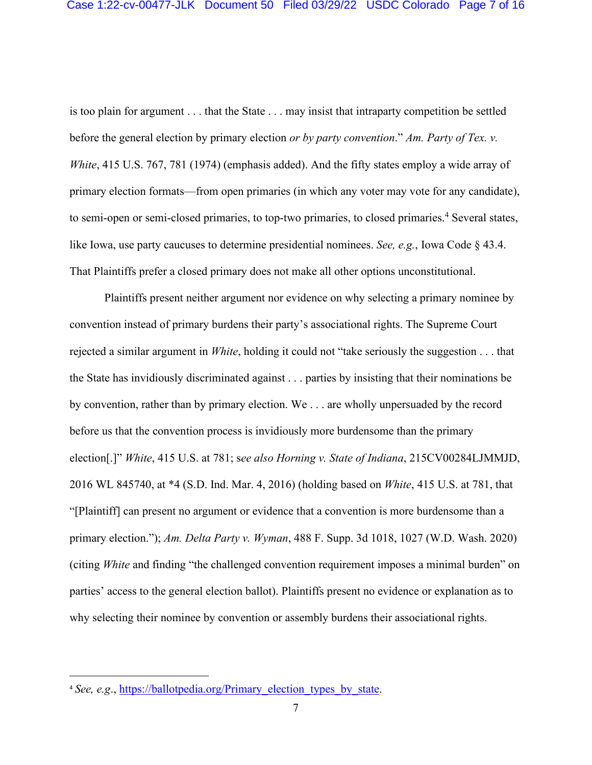is too plain for argument . . . that the State . . . may insist that intraparty competition be settled before the general election by primary election *or by party convention*." *Am. Party of Tex. v. White*, 415 U.S. 767, 781 (1974) (emphasis added). And the fifty states employ a wide array of primary election formats—from open primaries (in which any voter may vote for any candidate), to semi-open or semi-closed primaries, to top-two primaries, to closed primaries.<sup>4</sup> Several states, like Iowa, use party caucuses to determine presidential nominees. *See, e.g.*, Iowa Code § 43.4. That Plaintiffs prefer a closed primary does not make all other options unconstitutional.

Plaintiffs present neither argument nor evidence on why selecting a primary nominee by convention instead of primary burdens their party's associational rights. The Supreme Court rejected a similar argument in *White*, holding it could not "take seriously the suggestion . . . that the State has invidiously discriminated against . . . parties by insisting that their nominations be by convention, rather than by primary election. We . . . are wholly unpersuaded by the record before us that the convention process is invidiously more burdensome than the primary election[.]" *White*, 415 U.S. at 781; s*ee also Horning v. State of Indiana*, 215CV00284LJMMJD, 2016 WL 845740, at \*4 (S.D. Ind. Mar. 4, 2016) (holding based on *White*, 415 U.S. at 781, that "[Plaintiff] can present no argument or evidence that a convention is more burdensome than a primary election."); *Am. Delta Party v. Wyman*, 488 F. Supp. 3d 1018, 1027 (W.D. Wash. 2020) (citing *White* and finding "the challenged convention requirement imposes a minimal burden" on parties' access to the general election ballot). Plaintiffs present no evidence or explanation as to why selecting their nominee by convention or assembly burdens their associational rights.

<sup>&</sup>lt;sup>4</sup> *See, e.g., https://ballotpedia.org/Primary election types by state.*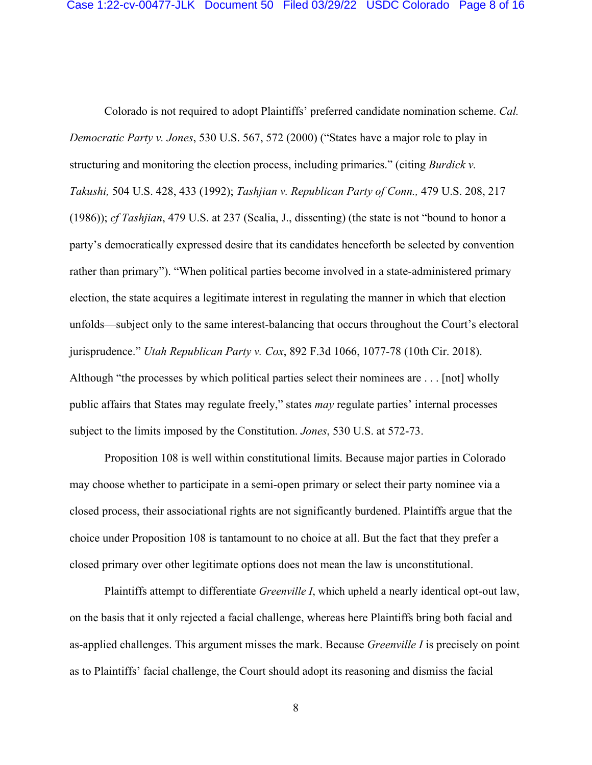Colorado is not required to adopt Plaintiffs' preferred candidate nomination scheme. *Cal. Democratic Party v. Jones*, 530 U.S. 567, 572 (2000) ("States have a major role to play in structuring and monitoring the election process, including primaries." (citing *Burdick v. Takushi,* 504 U.S. 428, 433 (1992); *Tashjian v. Republican Party of Conn.,* 479 U.S. 208, 217 (1986)); *cf Tashjian*, 479 U.S. at 237 (Scalia, J., dissenting) (the state is not "bound to honor a party's democratically expressed desire that its candidates henceforth be selected by convention rather than primary"). "When political parties become involved in a state-administered primary election, the state acquires a legitimate interest in regulating the manner in which that election unfolds—subject only to the same interest-balancing that occurs throughout the Court's electoral jurisprudence." *Utah Republican Party v. Cox*, 892 F.3d 1066, 1077-78 (10th Cir. 2018). Although "the processes by which political parties select their nominees are . . . [not] wholly public affairs that States may regulate freely," states *may* regulate parties' internal processes subject to the limits imposed by the Constitution. *Jones*, 530 U.S. at 572-73.

Proposition 108 is well within constitutional limits. Because major parties in Colorado may choose whether to participate in a semi-open primary or select their party nominee via a closed process, their associational rights are not significantly burdened. Plaintiffs argue that the choice under Proposition 108 is tantamount to no choice at all. But the fact that they prefer a closed primary over other legitimate options does not mean the law is unconstitutional.

Plaintiffs attempt to differentiate *Greenville I*, which upheld a nearly identical opt-out law, on the basis that it only rejected a facial challenge, whereas here Plaintiffs bring both facial and as-applied challenges. This argument misses the mark. Because *Greenville I* is precisely on point as to Plaintiffs' facial challenge, the Court should adopt its reasoning and dismiss the facial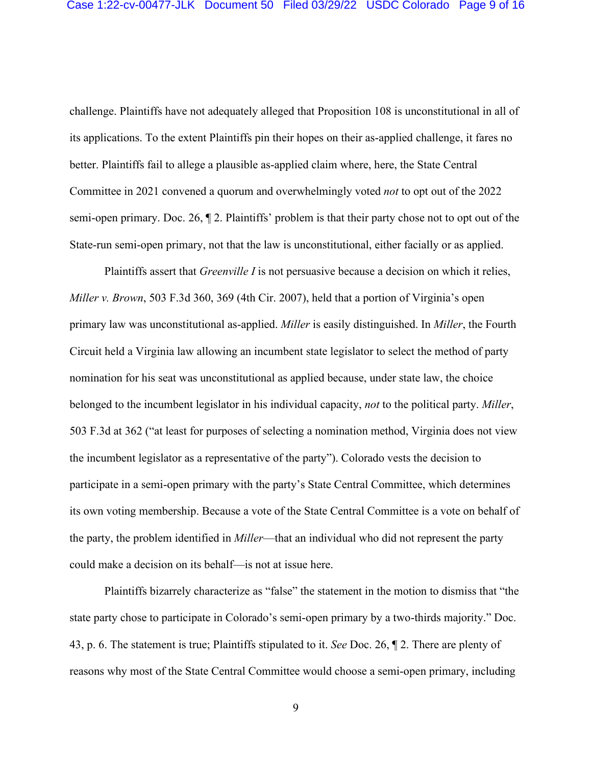challenge. Plaintiffs have not adequately alleged that Proposition 108 is unconstitutional in all of its applications. To the extent Plaintiffs pin their hopes on their as-applied challenge, it fares no better. Plaintiffs fail to allege a plausible as-applied claim where, here, the State Central Committee in 2021 convened a quorum and overwhelmingly voted *not* to opt out of the 2022 semi-open primary. Doc. 26, ¶ 2. Plaintiffs' problem is that their party chose not to opt out of the State-run semi-open primary, not that the law is unconstitutional, either facially or as applied.

Plaintiffs assert that *Greenville I* is not persuasive because a decision on which it relies, *Miller v. Brown*, 503 F.3d 360, 369 (4th Cir. 2007), held that a portion of Virginia's open primary law was unconstitutional as-applied. *Miller* is easily distinguished. In *Miller*, the Fourth Circuit held a Virginia law allowing an incumbent state legislator to select the method of party nomination for his seat was unconstitutional as applied because, under state law, the choice belonged to the incumbent legislator in his individual capacity, *not* to the political party. *Miller*, 503 F.3d at 362 ("at least for purposes of selecting a nomination method, Virginia does not view the incumbent legislator as a representative of the party"). Colorado vests the decision to participate in a semi-open primary with the party's State Central Committee, which determines its own voting membership. Because a vote of the State Central Committee is a vote on behalf of the party, the problem identified in *Miller*—that an individual who did not represent the party could make a decision on its behalf—is not at issue here.

Plaintiffs bizarrely characterize as "false" the statement in the motion to dismiss that "the state party chose to participate in Colorado's semi-open primary by a two-thirds majority." Doc. 43, p. 6. The statement is true; Plaintiffs stipulated to it. *See* Doc. 26, ¶ 2. There are plenty of reasons why most of the State Central Committee would choose a semi-open primary, including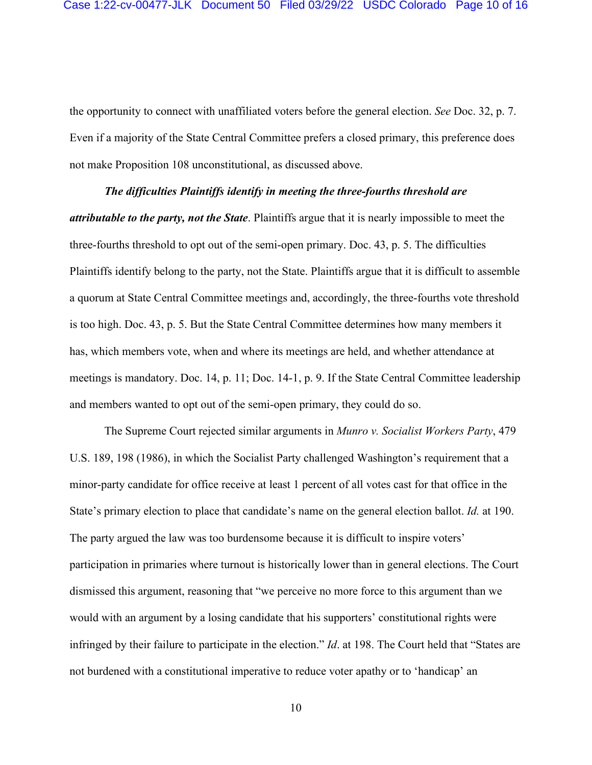the opportunity to connect with unaffiliated voters before the general election. *See* Doc. 32, p. 7. Even if a majority of the State Central Committee prefers a closed primary, this preference does not make Proposition 108 unconstitutional, as discussed above.

# *The difficulties Plaintiffs identify in meeting the three-fourths threshold are attributable to the party, not the State*. Plaintiffs argue that it is nearly impossible to meet the three-fourths threshold to opt out of the semi-open primary. Doc. 43, p. 5. The difficulties Plaintiffs identify belong to the party, not the State. Plaintiffs argue that it is difficult to assemble a quorum at State Central Committee meetings and, accordingly, the three-fourths vote threshold is too high. Doc. 43, p. 5. But the State Central Committee determines how many members it has, which members vote, when and where its meetings are held, and whether attendance at

meetings is mandatory. Doc. 14, p. 11; Doc. 14-1, p. 9. If the State Central Committee leadership and members wanted to opt out of the semi-open primary, they could do so.

The Supreme Court rejected similar arguments in *Munro v. Socialist Workers Party*, 479 U.S. 189, 198 (1986), in which the Socialist Party challenged Washington's requirement that a minor-party candidate for office receive at least 1 percent of all votes cast for that office in the State's primary election to place that candidate's name on the general election ballot. *Id.* at 190. The party argued the law was too burdensome because it is difficult to inspire voters' participation in primaries where turnout is historically lower than in general elections. The Court dismissed this argument, reasoning that "we perceive no more force to this argument than we would with an argument by a losing candidate that his supporters' constitutional rights were infringed by their failure to participate in the election." *Id*. at 198. The Court held that "States are not burdened with a constitutional imperative to reduce voter apathy or to 'handicap' an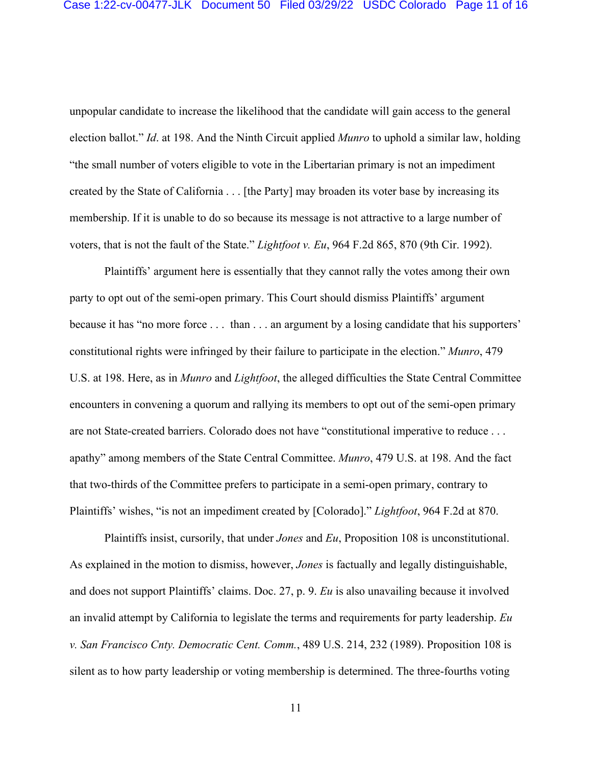unpopular candidate to increase the likelihood that the candidate will gain access to the general election ballot." *Id*. at 198. And the Ninth Circuit applied *Munro* to uphold a similar law, holding "the small number of voters eligible to vote in the Libertarian primary is not an impediment created by the State of California . . . [the Party] may broaden its voter base by increasing its membership. If it is unable to do so because its message is not attractive to a large number of voters, that is not the fault of the State." *Lightfoot v. Eu*, 964 F.2d 865, 870 (9th Cir. 1992).

Plaintiffs' argument here is essentially that they cannot rally the votes among their own party to opt out of the semi-open primary. This Court should dismiss Plaintiffs' argument because it has "no more force . . . than . . . an argument by a losing candidate that his supporters' constitutional rights were infringed by their failure to participate in the election." *Munro*, 479 U.S. at 198. Here, as in *Munro* and *Lightfoot*, the alleged difficulties the State Central Committee encounters in convening a quorum and rallying its members to opt out of the semi-open primary are not State-created barriers. Colorado does not have "constitutional imperative to reduce . . . apathy" among members of the State Central Committee. *Munro*, 479 U.S. at 198. And the fact that two-thirds of the Committee prefers to participate in a semi-open primary, contrary to Plaintiffs' wishes, "is not an impediment created by [Colorado]." *Lightfoot*, 964 F.2d at 870.

Plaintiffs insist, cursorily, that under *Jones* and *Eu*, Proposition 108 is unconstitutional. As explained in the motion to dismiss, however, *Jones* is factually and legally distinguishable, and does not support Plaintiffs' claims. Doc. 27, p. 9. *Eu* is also unavailing because it involved an invalid attempt by California to legislate the terms and requirements for party leadership. *Eu v. San Francisco Cnty. Democratic Cent. Comm.*, 489 U.S. 214, 232 (1989). Proposition 108 is silent as to how party leadership or voting membership is determined. The three-fourths voting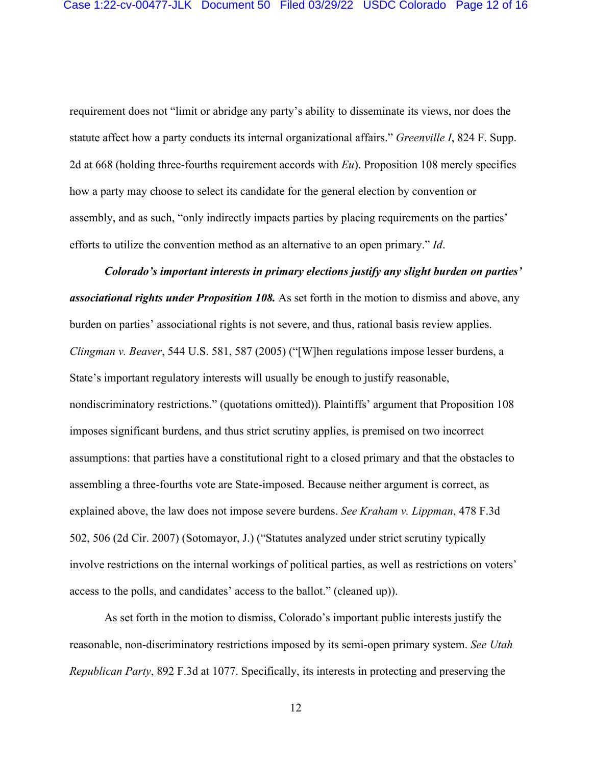requirement does not "limit or abridge any party's ability to disseminate its views, nor does the statute affect how a party conducts its internal organizational affairs." *Greenville I*, 824 F. Supp. 2d at 668 (holding three-fourths requirement accords with *Eu*). Proposition 108 merely specifies how a party may choose to select its candidate for the general election by convention or assembly, and as such, "only indirectly impacts parties by placing requirements on the parties' efforts to utilize the convention method as an alternative to an open primary." *Id*.

*Colorado's important interests in primary elections justify any slight burden on parties' associational rights under Proposition 108.* As set forth in the motion to dismiss and above, any burden on parties' associational rights is not severe, and thus, rational basis review applies. *Clingman v. Beaver*, 544 U.S. 581, 587 (2005) ("[W]hen regulations impose lesser burdens, a State's important regulatory interests will usually be enough to justify reasonable, nondiscriminatory restrictions." (quotations omitted)). Plaintiffs' argument that Proposition 108 imposes significant burdens, and thus strict scrutiny applies, is premised on two incorrect assumptions: that parties have a constitutional right to a closed primary and that the obstacles to assembling a three-fourths vote are State-imposed. Because neither argument is correct, as explained above, the law does not impose severe burdens. *See Kraham v. Lippman*, 478 F.3d 502, 506 (2d Cir. 2007) (Sotomayor, J.) ("Statutes analyzed under strict scrutiny typically involve restrictions on the internal workings of political parties, as well as restrictions on voters' access to the polls, and candidates' access to the ballot." (cleaned up)).

As set forth in the motion to dismiss, Colorado's important public interests justify the reasonable, non-discriminatory restrictions imposed by its semi-open primary system. *See Utah Republican Party*, 892 F.3d at 1077. Specifically, its interests in protecting and preserving the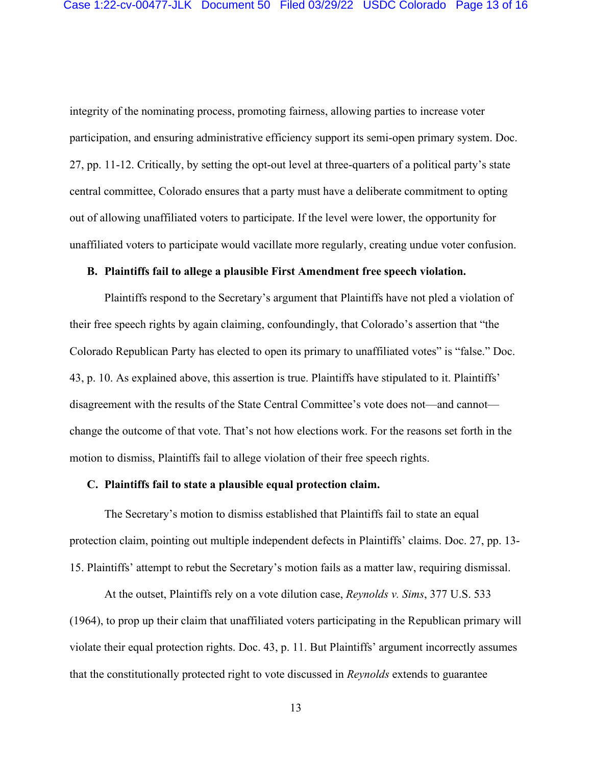integrity of the nominating process, promoting fairness, allowing parties to increase voter participation, and ensuring administrative efficiency support its semi-open primary system. Doc. 27, pp. 11-12. Critically, by setting the opt-out level at three-quarters of a political party's state central committee, Colorado ensures that a party must have a deliberate commitment to opting out of allowing unaffiliated voters to participate. If the level were lower, the opportunity for unaffiliated voters to participate would vacillate more regularly, creating undue voter confusion.

### **B. Plaintiffs fail to allege a plausible First Amendment free speech violation.**

Plaintiffs respond to the Secretary's argument that Plaintiffs have not pled a violation of their free speech rights by again claiming, confoundingly, that Colorado's assertion that "the Colorado Republican Party has elected to open its primary to unaffiliated votes" is "false." Doc. 43, p. 10. As explained above, this assertion is true. Plaintiffs have stipulated to it. Plaintiffs' disagreement with the results of the State Central Committee's vote does not—and cannot change the outcome of that vote. That's not how elections work. For the reasons set forth in the motion to dismiss, Plaintiffs fail to allege violation of their free speech rights.

### **C. Plaintiffs fail to state a plausible equal protection claim.**

The Secretary's motion to dismiss established that Plaintiffs fail to state an equal protection claim, pointing out multiple independent defects in Plaintiffs' claims. Doc. 27, pp. 13- 15. Plaintiffs' attempt to rebut the Secretary's motion fails as a matter law, requiring dismissal.

At the outset, Plaintiffs rely on a vote dilution case, *Reynolds v. Sims*, 377 U.S. 533 (1964), to prop up their claim that unaffiliated voters participating in the Republican primary will violate their equal protection rights. Doc. 43, p. 11. But Plaintiffs' argument incorrectly assumes that the constitutionally protected right to vote discussed in *Reynolds* extends to guarantee

13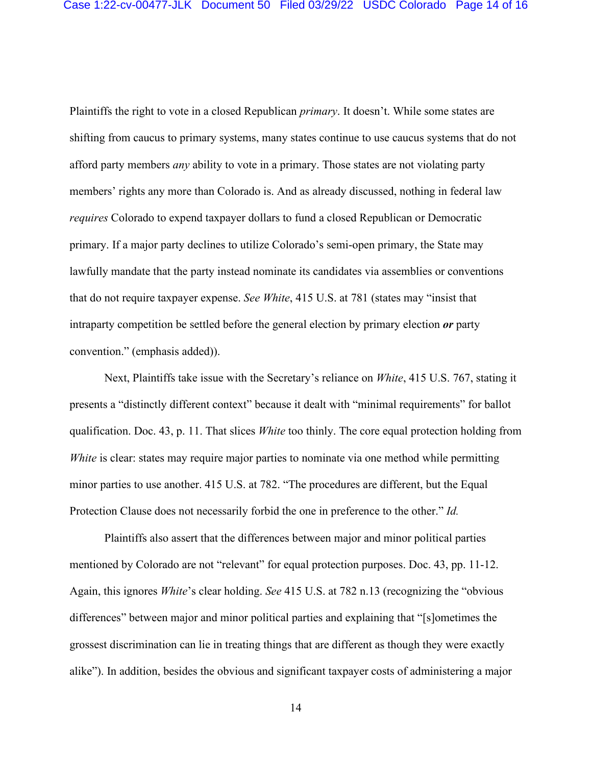Plaintiffs the right to vote in a closed Republican *primary*. It doesn't. While some states are shifting from caucus to primary systems, many states continue to use caucus systems that do not afford party members *any* ability to vote in a primary. Those states are not violating party members' rights any more than Colorado is. And as already discussed, nothing in federal law *requires* Colorado to expend taxpayer dollars to fund a closed Republican or Democratic primary. If a major party declines to utilize Colorado's semi-open primary, the State may lawfully mandate that the party instead nominate its candidates via assemblies or conventions that do not require taxpayer expense. *See White*, 415 U.S. at 781 (states may "insist that intraparty competition be settled before the general election by primary election *or* party convention." (emphasis added)).

Next, Plaintiffs take issue with the Secretary's reliance on *White*, 415 U.S. 767, stating it presents a "distinctly different context" because it dealt with "minimal requirements" for ballot qualification. Doc. 43, p. 11. That slices *White* too thinly. The core equal protection holding from *White* is clear: states may require major parties to nominate via one method while permitting minor parties to use another. 415 U.S. at 782. "The procedures are different, but the Equal Protection Clause does not necessarily forbid the one in preference to the other." *Id.*

Plaintiffs also assert that the differences between major and minor political parties mentioned by Colorado are not "relevant" for equal protection purposes. Doc. 43, pp. 11-12. Again, this ignores *White*'s clear holding. *See* 415 U.S. at 782 n.13 (recognizing the "obvious differences" between major and minor political parties and explaining that "[s]ometimes the grossest discrimination can lie in treating things that are different as though they were exactly alike"). In addition, besides the obvious and significant taxpayer costs of administering a major

14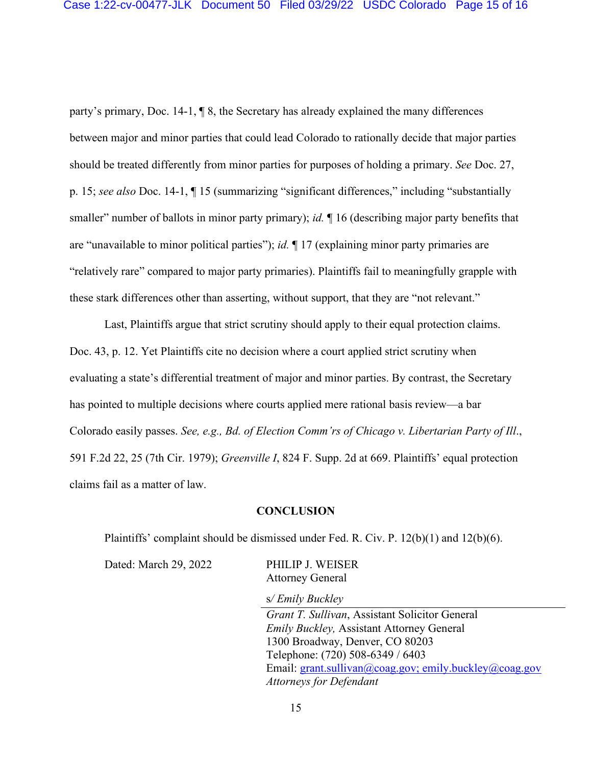party's primary, Doc. 14-1, ¶ 8, the Secretary has already explained the many differences between major and minor parties that could lead Colorado to rationally decide that major parties should be treated differently from minor parties for purposes of holding a primary. *See* Doc. 27, p. 15; *see also* Doc. 14-1, ¶ 15 (summarizing "significant differences," including "substantially smaller" number of ballots in minor party primary); *id.*  $\parallel$  16 (describing major party benefits that are "unavailable to minor political parties"); *id.* ¶ 17 (explaining minor party primaries are "relatively rare" compared to major party primaries). Plaintiffs fail to meaningfully grapple with these stark differences other than asserting, without support, that they are "not relevant."

Last, Plaintiffs argue that strict scrutiny should apply to their equal protection claims. Doc. 43, p. 12. Yet Plaintiffs cite no decision where a court applied strict scrutiny when evaluating a state's differential treatment of major and minor parties. By contrast, the Secretary has pointed to multiple decisions where courts applied mere rational basis review—a bar Colorado easily passes. *See, e.g., Bd. of Election Comm'rs of Chicago v. Libertarian Party of Ill*., 591 F.2d 22, 25 (7th Cir. 1979); *Greenville I*, 824 F. Supp. 2d at 669. Plaintiffs' equal protection claims fail as a matter of law.

### **CONCLUSION**

Plaintiffs' complaint should be dismissed under Fed. R. Civ. P.  $12(b)(1)$  and  $12(b)(6)$ .

Dated: March 29, 2022 PHILIP J. WEISER Attorney General

s*/ Emily Buckley*

*Grant T. Sullivan*, Assistant Solicitor General *Emily Buckley,* Assistant Attorney General 1300 Broadway, Denver, CO 80203 Telephone: (720) 508-6349 / 6403 Email: grant.sullivan@coag.gov; emily.buckley@coag.gov *Attorneys for Defendant*